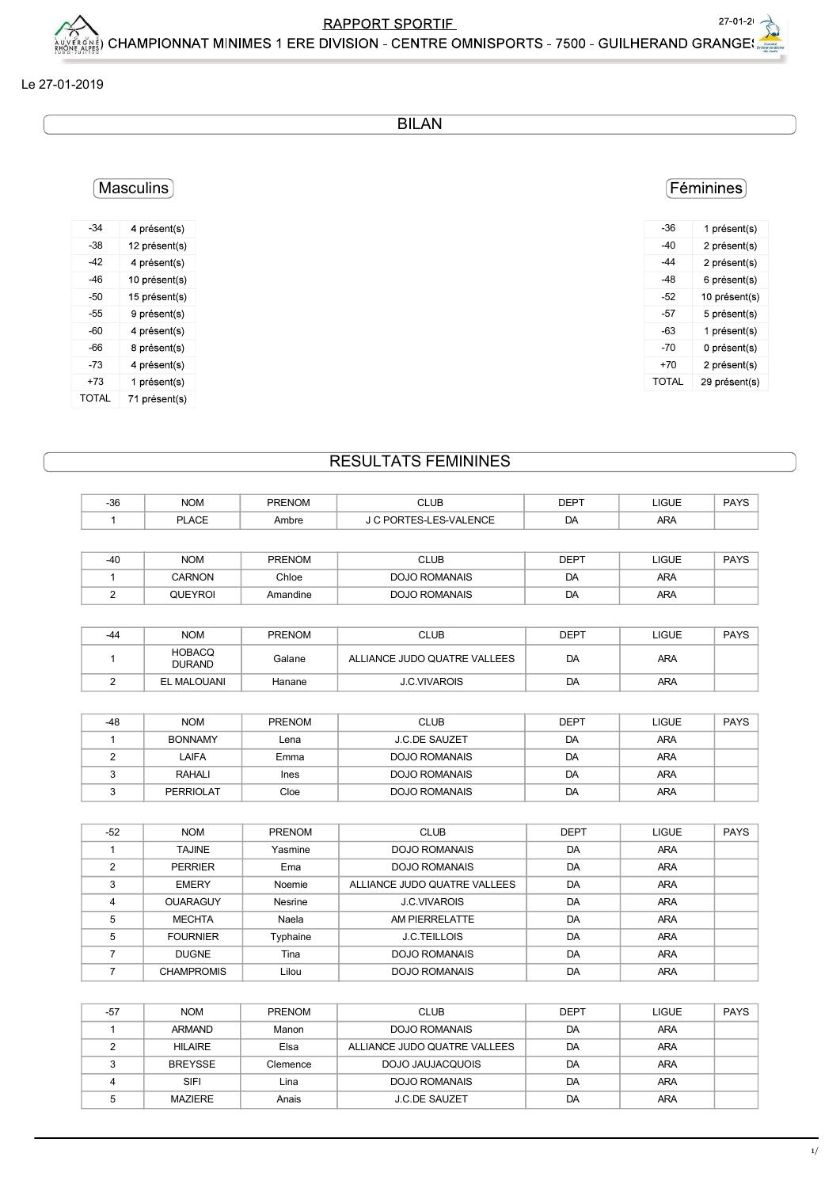$1/$ 

### Le 27-01-2019

**BILAN** 

## (Masculins)

| -34   | 4 présent(s)  |
|-------|---------------|
| -38   | 12 présent(s) |
| -42   | 4 présent(s)  |
| -46   | 10 présent(s) |
| -50   | 15 présent(s) |
| $-55$ | 9 présent(s)  |
| -60   | 4 présent(s)  |
| -66   | 8 présent(s)  |
| -73   | 4 présent(s)  |
| +73   | 1 présent(s)  |
| TOTAL | 71 présent(s) |

# **RESULTATS FEMININES**

| $-36$          | <b>NOM</b>                     | <b>PRENOM</b> | <b>CLUB</b>                  | <b>DEPT</b> | <b>LIGUE</b> | <b>PAYS</b> |
|----------------|--------------------------------|---------------|------------------------------|-------------|--------------|-------------|
| 1              | <b>PLACE</b>                   | Ambre         | J C PORTES-LES-VALENCE       | DA          | ARA          |             |
|                |                                |               |                              |             |              |             |
| $-40$          | <b>NOM</b>                     | <b>PRENOM</b> | <b>CLUB</b>                  | <b>DEPT</b> | <b>LIGUE</b> | <b>PAYS</b> |
|                | <b>CARNON</b>                  | Chloe         | <b>DOJO ROMANAIS</b>         | DA          | ARA          |             |
| 2              | <b>QUEYROI</b>                 | Amandine      | <b>DOJO ROMANAIS</b>         | DA          | ARA          |             |
|                |                                |               |                              |             |              |             |
| $-44$          | <b>NOM</b>                     | <b>PRENOM</b> | <b>CLUB</b>                  | <b>DEPT</b> | <b>LIGUE</b> | <b>PAYS</b> |
|                | <b>HOBACQ</b><br><b>DURAND</b> | Galane        | ALLIANCE JUDO QUATRE VALLEES | DA          | ARA          |             |
| 2              | <b>EL MALOUANI</b>             | Hanane        | <b>J.C.VIVAROIS</b>          | DA          | ARA          |             |
|                |                                |               |                              |             |              |             |
| -48            | <b>NOM</b>                     | <b>PRENOM</b> | <b>CLUB</b>                  | <b>DEPT</b> | <b>LIGUE</b> | <b>PAYS</b> |
| $\mathbf{1}$   | <b>BONNAMY</b>                 | Lena          | <b>J.C.DE SAUZET</b>         | DA          | ARA          |             |
| $\overline{2}$ | LAIFA                          | Emma          | <b>DOJO ROMANAIS</b>         | DA          | ARA          |             |
| 3              | <b>RAHALI</b>                  | <b>Ines</b>   | <b>DOJO ROMANAIS</b>         | DA          | ARA          |             |
| 3              | <b>PERRIOLAT</b>               | Cloe          | <b>DOJO ROMANAIS</b>         | DA          | ARA          |             |

| $-52$          | <b>NOM</b>        | <b>PRENOM</b> | <b>CLUB</b>                  | <b>DEPT</b> | <b>LIGUE</b> | <b>PAYS</b> |
|----------------|-------------------|---------------|------------------------------|-------------|--------------|-------------|
|                | <b>TAJINE</b>     | Yasmine       | <b>DOJO ROMANAIS</b>         | DA          | <b>ARA</b>   |             |
| $\mathcal{P}$  | <b>PERRIER</b>    | Ema           | <b>DOJO ROMANAIS</b>         | DA          | <b>ARA</b>   |             |
| 3              | <b>EMERY</b>      | Noemie        | ALLIANCE JUDO QUATRE VALLEES | DA          | <b>ARA</b>   |             |
| $\overline{4}$ | <b>OUARAGUY</b>   | Nesrine       | <b>J.C.VIVAROIS</b>          | DA          | <b>ARA</b>   |             |
| 5              | <b>MECHTA</b>     | Naela         | AM PIERRELATTE               | DA          | <b>ARA</b>   |             |
| 5              | <b>FOURNIER</b>   | Typhaine      | <b>J.C.TEILLOIS</b>          | DA          | <b>ARA</b>   |             |
|                | <b>DUGNE</b>      | Tina          | DOJO ROMANAIS                | DA          | <b>ARA</b>   |             |
|                | <b>CHAMPROMIS</b> | Lilou         | <b>DOJO ROMANAIS</b>         | DA          | <b>ARA</b>   |             |

| $-57$ | <b>NOM</b>     | <b>PRENOM</b> | <b>CLUB</b>                  | <b>DEPT</b> | <b>LIGUE</b> | <b>PAYS</b> |
|-------|----------------|---------------|------------------------------|-------------|--------------|-------------|
|       | <b>ARMAND</b>  | Manon         | DOJO ROMANAIS                | DA          | <b>ARA</b>   |             |
|       | <b>HILAIRE</b> | Elsa          | ALLIANCE JUDO QUATRE VALLEES | DA          | ARA          |             |
|       | <b>BREYSSE</b> | Clemence      | DOJO JAUJACQUOIS             | DA          | ARA          |             |
|       | SIFI           | Lina          | DOJO ROMANAIS                | DA          | ARA          |             |
|       | MAZIERE        | Anais         | <b>J.C.DE SAUZET</b>         | DA          | ARA          |             |

### (Féminines)

| -36   | 1 présent(s)  |
|-------|---------------|
| -40   | 2 présent(s)  |
| -44   | 2 présent(s)  |
| -48   | 6 présent(s)  |
| -52   | 10 présent(s) |
| -57   | 5 présent(s)  |
| -63   | 1 présent(s)  |
| $-70$ | 0 présent(s)  |
| $+70$ | 2 présent(s)  |
| TOTAI | 29 présent(s) |
|       |               |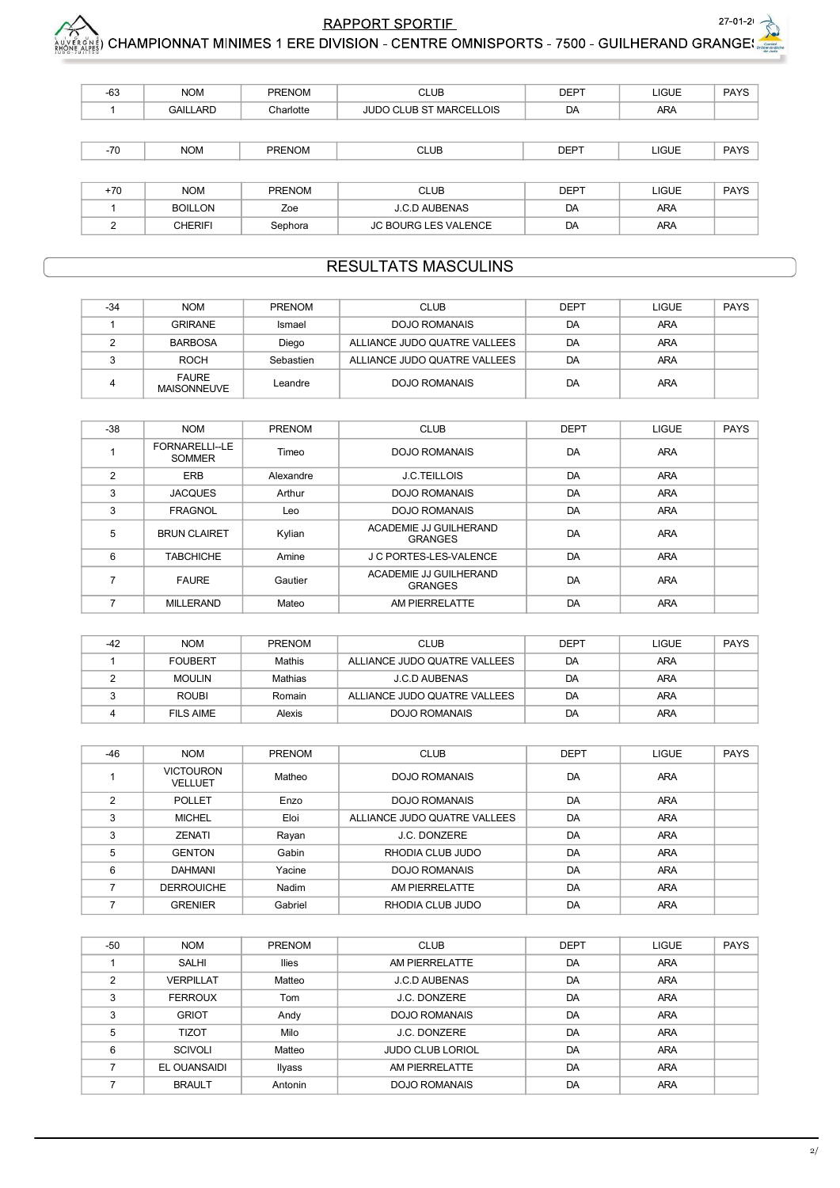

|                |                          |               | RAPPORT SPORTIE_<br>اِچْرَانَ AMPIONNAT MINIMES 1 ERE DIVISION - CENTRE OMNISPORTS - 7500 - GUILHERAND GRANGE بِيَّبْهِمْ |             |              | $27 - 01 - 2$ |
|----------------|--------------------------|---------------|---------------------------------------------------------------------------------------------------------------------------|-------------|--------------|---------------|
|                |                          |               |                                                                                                                           |             |              |               |
|                |                          |               |                                                                                                                           |             |              |               |
| -63            | <b>NOM</b>               | <b>PRENOM</b> | <b>CLUB</b>                                                                                                               | <b>DEPT</b> | <b>LIGUE</b> | PAYS          |
| $\mathbf{1}$   | <b>GAILLARD</b>          | Charlotte     | JUDO CLUB ST MARCELLOIS                                                                                                   | DA          | ARA          |               |
|                |                          |               |                                                                                                                           |             |              |               |
| $-70$          | <b>NOM</b>               | PRENOM        | <b>CLUB</b>                                                                                                               | <b>DEPT</b> | <b>LIGUE</b> | PAYS          |
|                |                          |               |                                                                                                                           |             |              |               |
| $+70$          | <b>NOM</b>               | <b>PRENOM</b> | <b>CLUB</b>                                                                                                               | <b>DEPT</b> | <b>LIGUE</b> | PAYS          |
| $\mathbf{1}$   | <b>BOILLON</b>           | Zoe           | J.C.D AUBENAS                                                                                                             | DA          | ARA          |               |
| $\overline{2}$ | <b>CHERIFI</b>           | Sephora       | JC BOURG LES VALENCE                                                                                                      | DA          | ARA          |               |
|                |                          |               |                                                                                                                           |             |              |               |
|                |                          |               | <b>RESULTATS MASCULINS</b>                                                                                                |             |              |               |
|                |                          |               |                                                                                                                           |             |              |               |
| $-34$          | <b>NOM</b>               | <b>PRENOM</b> | <b>CLUB</b>                                                                                                               | <b>DEPT</b> | LIGUE        | PAYS          |
| $\mathbf{1}$   | <b>GRIRANE</b>           | Ismael        | <b>DOJO ROMANAIS</b>                                                                                                      | DA          | ARA          |               |
| $\overline{2}$ | <b>BARBOSA</b>           | Diego         | ALLIANCE JUDO QUATRE VALLEES                                                                                              | DA          | ARA          |               |
| 3              | <b>ROCH</b>              | Sebastien     | ALLIANCE JUDO QUATRE VALLEES                                                                                              | DA          | ARA          |               |
| $\overline{4}$ | <b>FAURE</b>             | Leandre       | <b>DOJO ROMANAIS</b>                                                                                                      | DA          | ARA          |               |
|                | <b>MAISONNEUVE</b>       |               |                                                                                                                           |             |              |               |
|                |                          |               |                                                                                                                           |             |              |               |
| $-38$          | <b>NOM</b>               | PRENOM        | <b>CLUB</b>                                                                                                               | <b>DEPT</b> | LIGUE        | PAYS          |
| $\mathbf{1}$   | FORNARELLI--LE<br>SOMMER | Timeo         | <b>DOJO ROMANAIS</b>                                                                                                      | DA          | ARA          |               |
| $\overline{2}$ | ERB                      | Alexandre     | J.C.TEILLOIS                                                                                                              | DA          | ARA          |               |
| $\mathbf{3}$   | <b>JACQUES</b>           | Arthur        | <b>DOJO ROMANAIS</b>                                                                                                      | DA          | ARA          |               |
|                | FRAGNOL                  | Leo           | <b>DOJO ROMANAIS</b>                                                                                                      | DA          | ARA          |               |
| 3 <sup>1</sup> |                          |               |                                                                                                                           |             |              |               |

### RESULTATS MASCULINS

| -34 | <b>NOM</b>                         | <b>PRENOM</b> | <b>CLUB</b>                  | <b>DEPT</b> | LIGUE      | <b>PAYS</b> |
|-----|------------------------------------|---------------|------------------------------|-------------|------------|-------------|
|     | <b>GRIRANE</b>                     | Ismael        | <b>DOJO ROMANAIS</b>         | DA          | <b>ARA</b> |             |
|     | <b>BARBOSA</b>                     | Diego         | ALLIANCE JUDO QUATRE VALLEES | DA          | <b>ARA</b> |             |
|     | <b>ROCH</b>                        | Sebastien     | ALLIANCE JUDO QUATRE VALLEES | DA          | <b>ARA</b> |             |
|     | <b>FAURE</b><br><b>MAISONNEUVE</b> | Leandre       | DOJO ROMANAIS                | DA          | <b>ARA</b> |             |

| $\mathbf{1}$    | <b>GAILLARD</b>                    | Charlotte     | JUDO CLUB ST MARCELLOIS                  | DA          | ARA          |             |
|-----------------|------------------------------------|---------------|------------------------------------------|-------------|--------------|-------------|
|                 |                                    |               |                                          |             |              |             |
| $-70$           | <b>NOM</b>                         | PRENOM        | <b>CLUB</b>                              | <b>DEPT</b> | <b>LIGUE</b> | PAYS        |
|                 |                                    |               |                                          |             |              |             |
| $+70$           | <b>NOM</b>                         | <b>PRENOM</b> | <b>CLUB</b>                              | <b>DEPT</b> | <b>LIGUE</b> | <b>PAYS</b> |
| $\mathbf{1}$    | <b>BOILLON</b>                     | Zoe           | J.C.D AUBENAS                            | DA          | ARA          |             |
| $\overline{2}$  | <b>CHERIFI</b>                     | Sephora       | JC BOURG LES VALENCE                     | DA          | <b>ARA</b>   |             |
|                 |                                    |               |                                          |             |              |             |
|                 |                                    |               |                                          |             |              |             |
|                 |                                    |               | <b>RESULTATS MASCULINS</b>               |             |              |             |
|                 |                                    |               |                                          |             |              |             |
| $-34$           | <b>NOM</b>                         | <b>PRENOM</b> | <b>CLUB</b>                              | <b>DEPT</b> | <b>LIGUE</b> | <b>PAYS</b> |
| $\mathbf{1}$    | <b>GRIRANE</b>                     | Ismael        | <b>DOJO ROMANAIS</b>                     | DA          | ARA          |             |
| $\overline{2}$  | <b>BARBOSA</b>                     | Diego         | ALLIANCE JUDO QUATRE VALLEES             | DA          | ARA          |             |
| 3               | <b>ROCH</b>                        | Sebastien     | ALLIANCE JUDO QUATRE VALLEES             | DA          | ARA          |             |
| 4               | <b>FAURE</b><br><b>MAISONNEUVE</b> | Leandre       | <b>DOJO ROMANAIS</b>                     | DA          | ARA          |             |
|                 |                                    |               |                                          |             |              |             |
| -38             | <b>NOM</b>                         | <b>PRENOM</b> | <b>CLUB</b>                              | <b>DEPT</b> | <b>LIGUE</b> | <b>PAYS</b> |
| $\mathbf{1}$    | FORNARELLI--LE<br><b>SOMMER</b>    | Timeo         | <b>DOJO ROMANAIS</b>                     | DA          | ARA          |             |
| $\overline{2}$  | ERB                                | Alexandre     | J.C.TEILLOIS                             | DA          | ARA          |             |
| 3               | <b>JACQUES</b>                     | Arthur        | <b>DOJO ROMANAIS</b>                     | DA          | ARA          |             |
| 3               | <b>FRAGNOL</b>                     | Leo           | <b>DOJO ROMANAIS</b>                     | DA          | ARA          |             |
| $5\overline{)}$ | <b>BRUN CLAIRET</b>                | Kylian        | ACADEMIE JJ GUILHERAND                   | DA          | ARA          |             |
| 6               | <b>TABCHICHE</b>                   | Amine         | <b>GRANGES</b><br>J C PORTES-LES-VALENCE | DA          | ARA          |             |
|                 |                                    |               | ACADEMIE JJ GUILHERAND                   |             |              |             |
| $7^{\circ}$     | <b>FAURE</b>                       | Gautier       | <b>GRANGES</b>                           | DA          | ARA          |             |
| $7^{\circ}$     | <b>MILLERAND</b>                   | Mateo         | AM PIERRELATTE                           | DA          | <b>ARA</b>   |             |
|                 |                                    |               |                                          |             |              |             |
| -42             | <b>NOM</b>                         | <b>PRENOM</b> | <b>CLUB</b>                              | <b>DEPT</b> | <b>LIGUE</b> | <b>PAYS</b> |
| $\mathbf{1}$    | <b>FOUBERT</b>                     | Mathis        | ALLIANCE JUDO QUATRE VALLEES             | DA          | ARA          |             |
| 2               | <b>MOULIN</b>                      | Mathias       | J.C.D AUBENAS                            | DA          | ARA          |             |
| 3               | <b>ROUBI</b>                       | Romain        | ALLIANCE JUDO QUATRE VALLEES             | DA          | ARA          |             |
| 4               | <b>FILS AIME</b>                   | Alexis        | <b>DOJO ROMANAIS</b>                     | DA          | ARA          |             |
|                 |                                    |               |                                          |             |              |             |
|                 |                                    |               |                                          |             |              |             |
| -46             | <b>NOM</b>                         | <b>PRENOM</b> | <b>CLUB</b>                              | <b>DEPT</b> | <b>LIGUE</b> | <b>PAYS</b> |
| $\mathbf{1}$    | <b>VICTOURON</b><br><b>VELLUET</b> | Matheo        | <b>DOJO ROMANAIS</b>                     | DA          | ARA          |             |
| $\overline{2}$  | <b>POLLET</b>                      | Enzo          | <b>DOJO ROMANAIS</b>                     | DA          | ARA          |             |
| $\mathbf{3}$    | <b>MICHEL</b>                      | Eloi          | ALLIANCE JUDO QUATRE VALLEES             | DA          | ARA          |             |
| 3               | ZENATI                             | Rayan         | J.C. DONZERE                             | DA          | ARA          |             |
| $\,$ 5 $\,$     | <b>GENTON</b>                      | Gabin         | RHODIA CLUB JUDO                         | DA          | ARA          |             |
| 6               | <b>DAHMANI</b>                     | Yacine        | <b>DOJO ROMANAIS</b>                     | DA          | ARA          |             |
| $\overline{7}$  | <b>DERROUICHE</b>                  | Nadim         | AM PIERRELATTE                           | DA          | ARA          |             |
| $7^{\circ}$     | <b>GRENIER</b>                     | Gabriel       | RHODIA CLUB JUDO                         | DA          | ARA          |             |

| $-42$ | <b>NOM</b>     | <b>PRENOM</b> | <b>CLUB</b>                  | <b>DEPT</b> | LIGUE      | <b>PAYS</b> |
|-------|----------------|---------------|------------------------------|-------------|------------|-------------|
|       | <b>FOUBERT</b> | Mathis        | ALLIANCE JUDO QUATRE VALLEES | DA          | ARA        |             |
|       | <b>MOULIN</b>  | Mathias       | J.C.D AUBENAS                | DA          | <b>ARA</b> |             |
|       | <b>ROUBI</b>   | Romain        | ALLIANCE JUDO QUATRE VALLEES | DA          | ARA        |             |
|       | FILS AIME      | Alexis        | DOJO ROMANAIS                | DA          | <b>ARA</b> |             |

| 2               | ERB                                | Alexandre     | J.C.TEILLOIS                             | DA          | ARA          |             |
|-----------------|------------------------------------|---------------|------------------------------------------|-------------|--------------|-------------|
| $\mathbf{3}$    | <b>JACQUES</b>                     | Arthur        | <b>DOJO ROMANAIS</b>                     | DA          | ARA          |             |
| $\mathbf{3}$    | <b>FRAGNOL</b>                     | Leo           | <b>DOJO ROMANAIS</b>                     | DA          | ARA          |             |
| $5\overline{5}$ | <b>BRUN CLAIRET</b>                | Kylian        | ACADEMIE JJ GUILHERAND<br><b>GRANGES</b> | DA          | ARA          |             |
| 6               | <b>TABCHICHE</b>                   | Amine         | J C PORTES-LES-VALENCE                   | DA          | ARA          |             |
| $\overline{7}$  | <b>FAURE</b>                       | Gautier       | ACADEMIE JJ GUILHERAND<br><b>GRANGES</b> | DA          | <b>ARA</b>   |             |
| $\overline{7}$  | <b>MILLERAND</b>                   | Mateo         | AM PIERRELATTE                           | DA          | ARA          |             |
|                 |                                    |               |                                          |             |              |             |
| -42             | <b>NOM</b>                         | <b>PRENOM</b> | <b>CLUB</b>                              | <b>DEPT</b> | LIGUE        | <b>PAYS</b> |
| $\mathbf{1}$    | <b>FOUBERT</b>                     | Mathis        | ALLIANCE JUDO QUATRE VALLEES             | DA          | ARA          |             |
| $\overline{2}$  | <b>MOULIN</b>                      | Mathias       | J.C.D AUBENAS                            | DA          | ARA          |             |
| $\mathbf{3}$    | <b>ROUBI</b>                       | Romain        | ALLIANCE JUDO QUATRE VALLEES             | DA          | <b>ARA</b>   |             |
| $\overline{4}$  | <b>FILS AIME</b>                   | Alexis        | <b>DOJO ROMANAIS</b>                     | DA          | ARA          |             |
|                 |                                    |               |                                          |             |              |             |
|                 |                                    |               |                                          |             |              |             |
| $-46$           | <b>NOM</b>                         | PRENOM        | <b>CLUB</b>                              | <b>DEPT</b> | <b>LIGUE</b> | PAYS        |
| $\mathbf{1}$    | <b>VICTOURON</b><br><b>VELLUET</b> | Matheo        | <b>DOJO ROMANAIS</b>                     | DA          | ARA          |             |
| $\overline{2}$  | <b>POLLET</b>                      | Enzo          | <b>DOJO ROMANAIS</b>                     | DA          | <b>ARA</b>   |             |
| $\mathbf{3}$    | <b>MICHEL</b>                      | Eloi          | ALLIANCE JUDO QUATRE VALLEES             | DA          | <b>ARA</b>   |             |
| $\mathbf{3}$    | ZENATI                             | Rayan         | J.C. DONZERE                             | DA          | ARA          |             |
| $5\overline{)}$ | <b>GENTON</b>                      | Gabin         | RHODIA CLUB JUDO                         | DA          | <b>ARA</b>   |             |
| 6               | <b>DAHMANI</b>                     | Yacine        | <b>DOJO ROMANAIS</b>                     | DA          | ARA          |             |
| $\overline{7}$  | <b>DERROUICHE</b>                  | Nadim         | AM PIERRELATTE                           | DA          | ARA          |             |
| $\overline{7}$  | <b>GRENIER</b>                     | Gabriel       | RHODIA CLUB JUDO                         | DA          | <b>ARA</b>   |             |
|                 |                                    |               |                                          |             |              |             |
| $-50$           | <b>NOM</b>                         | <b>PRENOM</b> | <b>CLUB</b>                              | <b>DEPT</b> | <b>LIGUE</b> | <b>PAYS</b> |
| $\mathbf{1}$    | SALHI                              | <b>Ilies</b>  | AM PIERRELATTE                           | DA          | ARA          |             |
| 2               | <b>VERPILLAT</b>                   | Matteo        | J.C.D AUBENAS                            | DA          | ARA          |             |
| $\mathbf{3}$    | <b>FERROUX</b>                     | Tom           | J.C. DONZERE                             | DA          | ARA          |             |
| $\mathbf{3}$    | <b>GRIOT</b>                       | Andy          | <b>DOJO ROMANAIS</b>                     | DA          | <b>ARA</b>   |             |
| 5               | <b>TIZOT</b>                       | Milo          | J.C. DONZERE                             | DA          | ARA          |             |
| 6               | <b>SCIVOLI</b>                     | Matteo        | <b>JUDO CLUB LORIOL</b>                  | DA          | ARA          |             |
| $\overline{7}$  | EL OUANSAIDI                       | Ilyass        | AM PIERRELATTE                           | DA          | ARA          |             |
|                 | <b>BRAULT</b>                      | Antonin       | <b>DOJO ROMANAIS</b>                     | DA          | ARA          |             |
|                 |                                    |               |                                          |             |              |             |

| $-50$          | <b>NOM</b>       | PRENOM       | <b>CLUB</b>             | <b>DEPT</b> | <b>LIGUE</b> | <b>PAYS</b> |
|----------------|------------------|--------------|-------------------------|-------------|--------------|-------------|
|                | <b>SALHI</b>     | <b>Ilies</b> | AM PIERRELATTE          | DA          | <b>ARA</b>   |             |
| $\mathfrak{p}$ | <b>VERPILLAT</b> | Matteo       | <b>J.C.D AUBENAS</b>    | DA          | <b>ARA</b>   |             |
| 3              | <b>FERROUX</b>   | Tom          | J.C. DONZERE            | DA          | <b>ARA</b>   |             |
| 3              | <b>GRIOT</b>     | Andy         | DOJO ROMANAIS           | DA          | <b>ARA</b>   |             |
| 5              | <b>TIZOT</b>     | Milo         | J.C. DONZERE            | DA          | <b>ARA</b>   |             |
| 6              | <b>SCIVOLI</b>   | Matteo       | <b>JUDO CLUB LORIOL</b> | DA          | <b>ARA</b>   |             |
|                | EL OUANSAIDI     | Ilyass       | AM PIERRELATTE          | DA          | <b>ARA</b>   |             |
|                | <b>BRAULT</b>    | Antonin      | <b>DOJO ROMANAIS</b>    | DA          | <b>ARA</b>   |             |